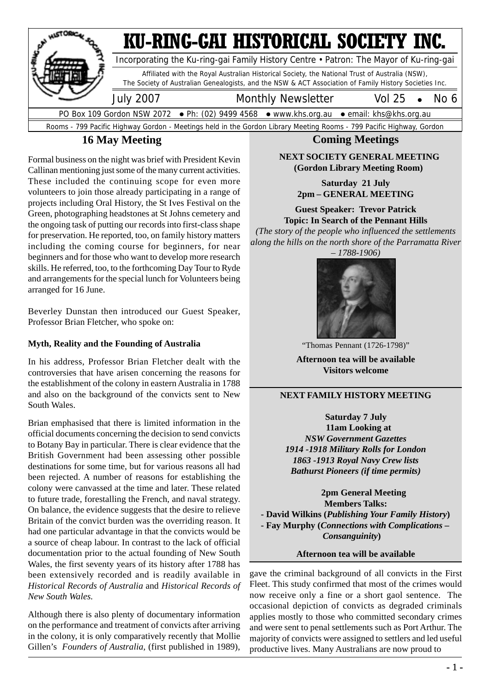

## **16 May Meeting**

Formal business on the night was brief with President Kevin Callinan mentioning just some of the many current activities. These included the continuing scope for even more volunteers to join those already participating in a range of projects including Oral History, the St Ives Festival on the Green, photographing headstones at St Johns cemetery and the ongoing task of putting our records into first-class shape for preservation. He reported, too, on family history matters including the coming course for beginners, for near beginners and for those who want to develop more research skills. He referred, too, to the forthcoming Day Tour to Ryde and arrangements for the special lunch for Volunteers being arranged for 16 June.

Beverley Dunstan then introduced our Guest Speaker, Professor Brian Fletcher, who spoke on:

#### **Myth, Reality and the Founding of Australia**

In his address, Professor Brian Fletcher dealt with the controversies that have arisen concerning the reasons for the establishment of the colony in eastern Australia in 1788 and also on the background of the convicts sent to New South Wales.

Brian emphasised that there is limited information in the official documents concerning the decision to send convicts to Botany Bay in particular. There is clear evidence that the British Government had been assessing other possible destinations for some time, but for various reasons all had been rejected. A number of reasons for establishing the colony were canvassed at the time and later. These related to future trade, forestalling the French, and naval strategy. On balance, the evidence suggests that the desire to relieve Britain of the convict burden was the overriding reason. It had one particular advantage in that the convicts would be a source of cheap labour. In contrast to the lack of official documentation prior to the actual founding of New South Wales, the first seventy years of its history after 1788 has been extensively recorded and is readily available in *Historical Records of Australia* and *Historical Records of New South Wales.*

Although there is also plenty of documentary information on the performance and treatment of convicts after arriving in the colony, it is only comparatively recently that Mollie Gillen's *Founders of Australia,* (first published in 1989),

#### **Coming Meetings**

#### **NEXT SOCIETY GENERAL MEETING (Gordon Library Meeting Room)**

#### **Saturday 21 July 2pm – GENERAL MEETING**

**Guest Speaker: Trevor Patrick Topic: In Search of the Pennant Hills**

*(The story of the people who influenced the settlements along the hills on the north shore of the Parramatta River*





"Thomas Pennant (1726-1798)"

**Afternoon tea will be available Visitors welcome**

#### **NEXT FAMILY HISTORY MEETING**

 **Saturday 7 July 11am Looking at** *NSW Government Gazettes 1914 -1918 Military Rolls for London 1863 -1913 Royal Navy Crew lists Bathurst Pioneers (if time permits)*

 **2pm General Meeting Members Talks: - David Wilkins (***Publishing Your Family History***) - Fay Murphy (***Connections with Complications – Consanguinity***)**

**Afternoon tea will be available**

gave the criminal background of all convicts in the First Fleet. This study confirmed that most of the crimes would now receive only a fine or a short gaol sentence. The occasional depiction of convicts as degraded criminals applies mostly to those who committed secondary crimes and were sent to penal settlements such as Port Arthur. The majority of convicts were assigned to settlers and led useful productive lives. Many Australians are now proud to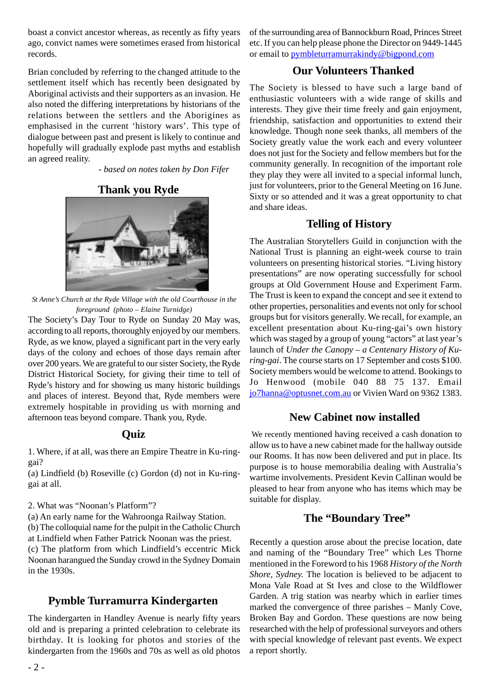boast a convict ancestor whereas, as recently as fifty years ago, convict names were sometimes erased from historical records.

Brian concluded by referring to the changed attitude to the settlement itself which has recently been designated by Aboriginal activists and their supporters as an invasion. He also noted the differing interpretations by historians of the relations between the settlers and the Aborigines as emphasised in the current 'history wars'. This type of dialogue between past and present is likely to continue and hopefully will gradually explode past myths and establish an agreed reality.

 *- based on notes taken by Don Fifer*

#### **Thank you Ryde**



*St Anne's Church at the Ryde Village with the old Courthouse in the foreground (photo – Elaine Turnidge)*

The Society's Day Tour to Ryde on Sunday 20 May was, according to all reports, thoroughly enjoyed by our members. Ryde, as we know, played a significant part in the very early days of the colony and echoes of those days remain after over 200 years. We are grateful to our sister Society, the Ryde District Historical Society, for giving their time to tell of Ryde's history and for showing us many historic buildings and places of interest. Beyond that, Ryde members were extremely hospitable in providing us with morning and afternoon teas beyond compare. Thank you, Ryde.

#### **Quiz**

1. Where, if at all, was there an Empire Theatre in Ku-ringgai?

(a) Lindfield (b) Roseville (c) Gordon (d) not in Ku-ringgai at all.

2. What was "Noonan's Platform"?

(a) An early name for the Wahroonga Railway Station.

(b) The colloquial name for the pulpit in the Catholic Church at Lindfield when Father Patrick Noonan was the priest. (c) The platform from which Lindfield's eccentric Mick Noonan harangued the Sunday crowd in the Sydney Domain in the 1930s.

#### **Pymble Turramurra Kindergarten**

The kindergarten in Handley Avenue is nearly fifty years old and is preparing a printed celebration to celebrate its birthday. It is looking for photos and stories of the kindergarten from the 1960s and 70s as well as old photos of the surrounding area of Bannockburn Road, Princes Street etc. If you can help please phone the Director on 9449-1445 or email to pymbleturramurrakindy@bigpond.com

## **Our Volunteers Thanked**

The Society is blessed to have such a large band of enthusiastic volunteers with a wide range of skills and interests. They give their time freely and gain enjoyment, friendship, satisfaction and opportunities to extend their knowledge. Though none seek thanks, all members of the Society greatly value the work each and every volunteer does not just for the Society and fellow members but for the community generally. In recognition of the important role they play they were all invited to a special informal lunch, just for volunteers, prior to the General Meeting on 16 June. Sixty or so attended and it was a great opportunity to chat and share ideas.

#### **Telling of History**

The Australian Storytellers Guild in conjunction with the National Trust is planning an eight-week course to train volunteers on presenting historical stories. "Living history presentations" are now operating successfully for school groups at Old Government House and Experiment Farm. The Trust is keen to expand the concept and see it extend to other properties, personalities and events not only for school groups but for visitors generally. We recall, for example, an excellent presentation about Ku-ring-gai's own history which was staged by a group of young "actors" at last year's launch of *Under the Canopy – a Centenary History of Kuring-gai*. The course starts on 17 September and costs \$100. Society members would be welcome to attend. Bookings to Jo Henwood (mobile 040 88 75 137. Email jo7hanna@optusnet.com.au or Vivien Ward on 9362 1383.

#### **New Cabinet now installed**

 We recently mentioned having received a cash donation to allow us to have a new cabinet made for the hallway outside our Rooms. It has now been delivered and put in place. Its purpose is to house memorabilia dealing with Australia's wartime involvements. President Kevin Callinan would be pleased to hear from anyone who has items which may be suitable for display.

#### **The "Boundary Tree"**

Recently a question arose about the precise location, date and naming of the "Boundary Tree" which Les Thorne mentioned in the Foreword to his 1968 *History of the North Shore, Sydney.* The location is believed to be adjacent to Mona Vale Road at St Ives and close to the Wildflower Garden. A trig station was nearby which in earlier times marked the convergence of three parishes – Manly Cove, Broken Bay and Gordon. These questions are now being researched with the help of professional surveyors and others with special knowledge of relevant past events. We expect a report shortly.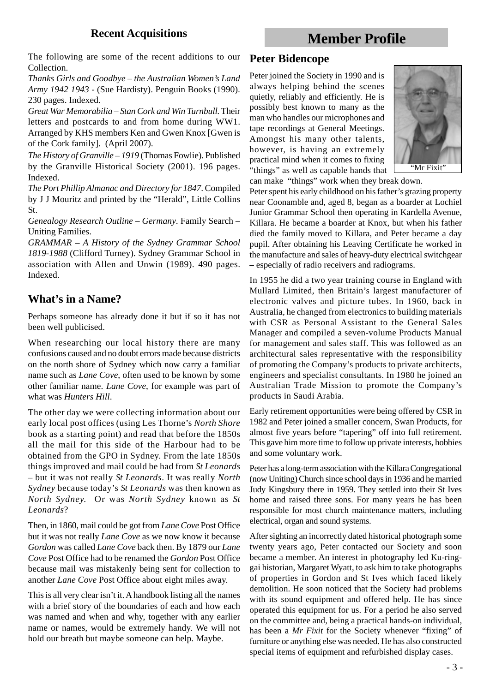## **Recent Acquisitions**

## **Member Profile**

The following are some of the recent additions to our Collection.

*Thanks Girls and Goodbye – the Australian Women's Land Army 1942 1943* - (Sue Hardisty). Penguin Books (1990). 230 pages. Indexed.

*Great War Memorabilia – Stan Cork and Win Turnbull.* Their letters and postcards to and from home during WW1. Arranged by KHS members Ken and Gwen Knox [Gwen is of the Cork family]. (April 2007).

*The History of Granville – 1919* (Thomas Fowlie). Published by the Granville Historical Society (2001). 196 pages. Indexed.

*The Port Phillip Almanac and Directory for 1847*. Compiled by J J Mouritz and printed by the "Herald", Little Collins St.

*Genealogy Research Outline – Germany*. Family Search – Uniting Families.

*GRAMMAR – A History of the Sydney Grammar School 1819-1988* (Clifford Turney). Sydney Grammar School in association with Allen and Unwin (1989). 490 pages. Indexed.

## **What's in a Name?**

Perhaps someone has already done it but if so it has not been well publicised.

When researching our local history there are many confusions caused and no doubt errors made because districts on the north shore of Sydney which now carry a familiar name such as *Lane Cove*, often used to be known by some other familiar name. *Lane Cove*, for example was part of what was *Hunters Hill*.

The other day we were collecting information about our early local post offices (using Les Thorne's *North Shore* book as a starting point) and read that before the 1850s all the mail for this side of the Harbour had to be obtained from the GPO in Sydney. From the late 1850s things improved and mail could be had from *St Leonards* – but it was not really *St Leonards*. It was really *North Sydney* because today's *St Leonards* was then known as *North Sydney.* Or was *North Sydney* known as *St Leonards*?

Then, in 1860, mail could be got from *Lane Cove* Post Office but it was not really *Lane Cove* as we now know it because *Gordon* was called *Lane Cove* back then. By 1879 our *Lane Cove* Post Office had to be renamed the *Gordon* Post Office because mail was mistakenly being sent for collection to another *Lane Cove* Post Office about eight miles away.

This is all very clear isn't it. A handbook listing all the names with a brief story of the boundaries of each and how each was named and when and why, together with any earlier name or names, would be extremely handy. We will not hold our breath but maybe someone can help. Maybe.

#### **Peter Bidencope**

Peter joined the Society in 1990 and is always helping behind the scenes quietly, reliably and efficiently. He is possibly best known to many as the man who handles our microphones and tape recordings at General Meetings. Amongst his many other talents, however, is having an extremely practical mind when it comes to fixing "things" as well as capable hands that



can make "things" work when they break down. Peter spent his early childhood on his father's grazing property near Coonamble and, aged 8, began as a boarder at Lochiel Junior Grammar School then operating in Kardella Avenue, Killara. He became a boarder at Knox, but when his father died the family moved to Killara, and Peter became a day pupil. After obtaining his Leaving Certificate he worked in

the manufacture and sales of heavy-duty electrical switchgear

– especially of radio receivers and radiograms.

In 1955 he did a two year training course in England with Mullard Limited, then Britain's largest manufacturer of electronic valves and picture tubes. In 1960, back in Australia, he changed from electronics to building materials with CSR as Personal Assistant to the General Sales Manager and compiled a seven-volume Products Manual for management and sales staff. This was followed as an architectural sales representative with the responsibility of promoting the Company's products to private architects, engineers and specialist consultants. In 1980 he joined an Australian Trade Mission to promote the Company's products in Saudi Arabia.

Early retirement opportunities were being offered by CSR in 1982 and Peter joined a smaller concern, Swan Products, for almost five years before "tapering" off into full retirement. This gave him more time to follow up private interests, hobbies and some voluntary work.

Peter has a long-term association with the Killara Congregational (now Uniting) Church since school days in 1936 and he married Judy Kingsbury there in 1959. They settled into their St Ives home and raised three sons. For many years he has been responsible for most church maintenance matters, including electrical, organ and sound systems.

After sighting an incorrectly dated historical photograph some twenty years ago, Peter contacted our Society and soon became a member. An interest in photography led Ku-ringgai historian, Margaret Wyatt, to ask him to take photographs of properties in Gordon and St Ives which faced likely demolition. He soon noticed that the Society had problems with its sound equipment and offered help. He has since operated this equipment for us. For a period he also served on the committee and, being a practical hands-on individual, has been a *Mr Fixit* for the Society whenever "fixing" of furniture or anything else was needed. He has also constructed special items of equipment and refurbished display cases.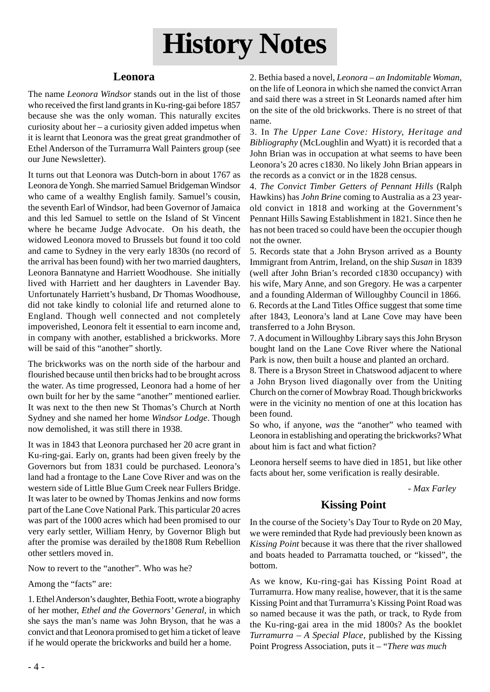# **History Notes**

## **Leonora**

The name *Leonora Windsor* stands out in the list of those who received the first land grants in Ku-ring-gai before 1857 because she was the only woman. This naturally excites curiosity about her – a curiosity given added impetus when it is learnt that Leonora was the great great grandmother of Ethel Anderson of the Turramurra Wall Painters group (see our June Newsletter).

It turns out that Leonora was Dutch-born in about 1767 as Leonora de Yongh. She married Samuel Bridgeman Windsor who came of a wealthy English family. Samuel's cousin, the seventh Earl of Windsor, had been Governor of Jamaica and this led Samuel to settle on the Island of St Vincent where he became Judge Advocate. On his death, the widowed Leonora moved to Brussels but found it too cold and came to Sydney in the very early 1830s (no record of the arrival has been found) with her two married daughters, Leonora Bannatyne and Harriett Woodhouse. She initially lived with Harriett and her daughters in Lavender Bay. Unfortunately Harriett's husband, Dr Thomas Woodhouse, did not take kindly to colonial life and returned alone to England. Though well connected and not completely impoverished, Leonora felt it essential to earn income and, in company with another, established a brickworks. More will be said of this "another" shortly.

The brickworks was on the north side of the harbour and flourished because until then bricks had to be brought across the water. As time progressed, Leonora had a home of her own built for her by the same "another" mentioned earlier. It was next to the then new St Thomas's Church at North Sydney and she named her home *Windsor Lodge*. Though now demolished, it was still there in 1938.

It was in 1843 that Leonora purchased her 20 acre grant in Ku-ring-gai. Early on, grants had been given freely by the Governors but from 1831 could be purchased. Leonora's land had a frontage to the Lane Cove River and was on the western side of Little Blue Gum Creek near Fullers Bridge. It was later to be owned by Thomas Jenkins and now forms part of the Lane Cove National Park. This particular 20 acres was part of the 1000 acres which had been promised to our very early settler, William Henry, by Governor Bligh but after the promise was derailed by the1808 Rum Rebellion other settlers moved in.

Now to revert to the "another". Who was he?

Among the "facts" are:

1. Ethel Anderson's daughter, Bethia Foott, wrote a biography of her mother, *Ethel and the Governors' General*, in which she says the man's name was John Bryson, that he was a convict and that Leonora promised to get him a ticket of leave if he would operate the brickworks and build her a home.

2. Bethia based a novel, *Leonora – an Indomitable Woman*, on the life of Leonora in which she named the convict Arran and said there was a street in St Leonards named after him on the site of the old brickworks. There is no street of that name.

3. In *The Upper Lane Cove: History, Heritage and Bibliography* (McLoughlin and Wyatt) it is recorded that a John Brian was in occupation at what seems to have been Leonora's 20 acres c1830. No likely John Brian appears in the records as a convict or in the 1828 census.

4. *The Convict Timber Getters of Pennant Hills* (Ralph Hawkins) has *John Brine* coming to Australia as a 23 yearold convict in 1818 and working at the Government's Pennant Hills Sawing Establishment in 1821. Since then he has not been traced so could have been the occupier though not the owner.

5. Records state that a John Bryson arrived as a Bounty Immigrant from Antrim, Ireland, on the ship *Susan* in 1839 (well after John Brian's recorded c1830 occupancy) with his wife, Mary Anne, and son Gregory. He was a carpenter and a founding Alderman of Willoughby Council in 1866. 6. Records at the Land Titles Office suggest that some time after 1843, Leonora's land at Lane Cove may have been transferred to a John Bryson.

7. A document in Willoughby Library says this John Bryson bought land on the Lane Cove River where the National Park is now, then built a house and planted an orchard.

8. There is a Bryson Street in Chatswood adjacent to where a John Bryson lived diagonally over from the Uniting Church on the corner of Mowbray Road. Though brickworks were in the vicinity no mention of one at this location has been found.

So who, if anyone, *was* the "another" who teamed with Leonora in establishing and operating the brickworks? What about him is fact and what fiction?

Leonora herself seems to have died in 1851, but like other facts about her, some verification is really desirable.

 *- Max Farley*

## **Kissing Point**

In the course of the Society's Day Tour to Ryde on 20 May, we were reminded that Ryde had previously been known as *Kissing Point* because it was there that the river shallowed and boats headed to Parramatta touched, or "kissed", the bottom.

As we know, Ku-ring-gai has Kissing Point Road at Turramurra. How many realise, however, that it is the same Kissing Point and that Turramurra's Kissing Point Road was so named because it was the path, or track, to Ryde from the Ku-ring-gai area in the mid 1800s? As the booklet *Turramurra – A Special Place*, published by the Kissing Point Progress Association, puts it – "*There was much*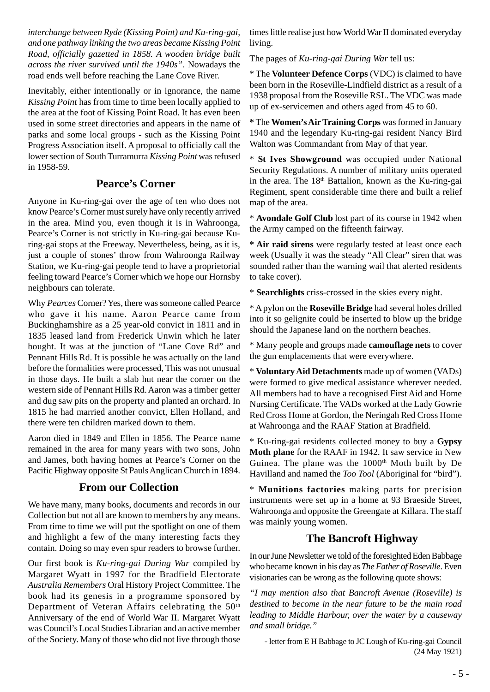*interchange between Ryde (Kissing Point) and Ku-ring-gai, and one pathway linking the two areas became Kissing Point Road, officially gazetted in 1858. A wooden bridge built across the river survived until the 1940s"*. Nowadays the road ends well before reaching the Lane Cove River.

Inevitably, either intentionally or in ignorance, the name *Kissing Point* has from time to time been locally applied to the area at the foot of Kissing Point Road. It has even been used in some street directories and appears in the name of parks and some local groups - such as the Kissing Point Progress Association itself. A proposal to officially call the lower section of South Turramurra *Kissing Point* was refused in 1958-59.

## **Pearce's Corner**

Anyone in Ku-ring-gai over the age of ten who does not know Pearce's Corner must surely have only recently arrived in the area. Mind you, even though it is in Wahroonga, Pearce's Corner is not strictly in Ku-ring-gai because Kuring-gai stops at the Freeway. Nevertheless, being, as it is, just a couple of stones' throw from Wahroonga Railway Station, we Ku-ring-gai people tend to have a proprietorial feeling toward Pearce's Corner which we hope our Hornsby neighbours can tolerate.

Why *Pearces* Corner? Yes, there was someone called Pearce who gave it his name. Aaron Pearce came from Buckinghamshire as a 25 year-old convict in 1811 and in 1835 leased land from Frederick Unwin which he later bought. It was at the junction of "Lane Cove Rd" and Pennant Hills Rd. It is possible he was actually on the land before the formalities were processed, This was not unusual in those days. He built a slab hut near the corner on the western side of Pennant Hills Rd. Aaron was a timber getter and dug saw pits on the property and planted an orchard. In 1815 he had married another convict, Ellen Holland, and there were ten children marked down to them.

Aaron died in 1849 and Ellen in 1856. The Pearce name remained in the area for many years with two sons, John and James, both having homes at Pearce's Corner on the Pacific Highway opposite St Pauls Anglican Church in 1894.

## **From our Collection**

We have many, many books, documents and records in our Collection but not all are known to members by any means. From time to time we will put the spotlight on one of them and highlight a few of the many interesting facts they contain. Doing so may even spur readers to browse further.

Our first book is *Ku-ring-gai During War* compiled by Margaret Wyatt in 1997 for the Bradfield Electorate *Australia Remembers* Oral History Project Committee. The book had its genesis in a programme sponsored by Department of Veteran Affairs celebrating the 50<sup>th</sup> Anniversary of the end of World War II. Margaret Wyatt was Council's Local Studies Librarian and an active member of the Society. Many of those who did not live through those

times little realise just how World War II dominated everyday living.

The pages of *Ku-ring-gai During War* tell us:

\* The **Volunteer Defence Corps** (VDC) is claimed to have been born in the Roseville-Lindfield district as a result of a 1938 proposal from the Roseville RSL. The VDC was made up of ex-servicemen and others aged from 45 to 60.

**\*** The **Women's Air Training Corps** was formed in January 1940 and the legendary Ku-ring-gai resident Nancy Bird Walton was Commandant from May of that year.

\* **St Ives Showground** was occupied under National Security Regulations. A number of military units operated in the area. The 18<sup>th</sup> Battalion, known as the Ku-ring-gai Regiment, spent considerable time there and built a relief map of the area.

\* **Avondale Golf Club** lost part of its course in 1942 when the Army camped on the fifteenth fairway.

**\* Air raid sirens** were regularly tested at least once each week (Usually it was the steady "All Clear" siren that was sounded rather than the warning wail that alerted residents to take cover).

\* **Searchlights** criss-crossed in the skies every night.

\* A pylon on the **Roseville Bridge** had several holes drilled into it so gelignite could be inserted to blow up the bridge should the Japanese land on the northern beaches.

\* Many people and groups made **camouflage nets** to cover the gun emplacements that were everywhere.

\* **Voluntary Aid Detachments** made up of women (VADs) were formed to give medical assistance wherever needed. All members had to have a recognised First Aid and Home Nursing Certificate. The VADs worked at the Lady Gowrie Red Cross Home at Gordon, the Neringah Red Cross Home at Wahroonga and the RAAF Station at Bradfield.

\* Ku-ring-gai residents collected money to buy a **Gypsy Moth plane** for the RAAF in 1942. It saw service in New Guinea. The plane was the  $1000<sup>th</sup>$  Moth built by De Havilland and named the *Too Tool* (Aboriginal for "bird").

\* **Munitions factories** making parts for precision instruments were set up in a home at 93 Braeside Street, Wahroonga and opposite the Greengate at Killara. The staff was mainly young women.

## **The Bancroft Highway**

In our June Newsletter we told of the foresighted Eden Babbage who became known in his day as *The Father of Roseville*. Even visionaries can be wrong as the following quote shows:

*"I may mention also that Bancroft Avenue (Roseville) is destined to become in the near future to be the main road leading to Middle Harbour, over the water by a causeway and small bridge."*

- letter from E H Babbage to JC Lough of Ku-ring-gai Council (24 May 1921)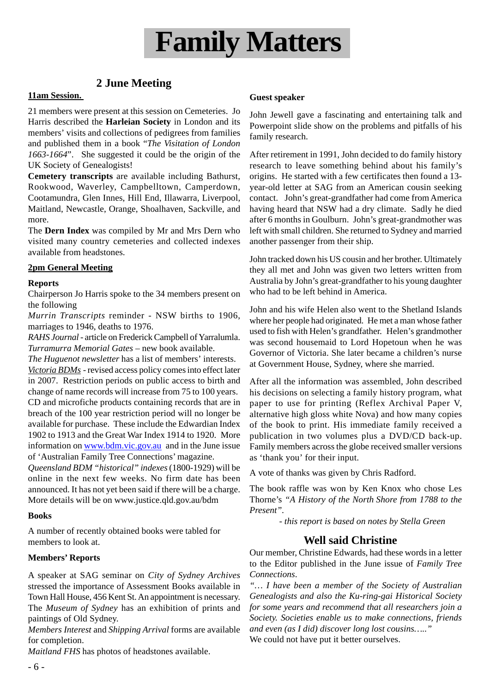

## **2 June Meeting**

#### **11am Session.**

21 members were present at this session on Cemeteries. Jo Harris described the **Harleian Society** in London and its members' visits and collections of pedigrees from families and published them in a book "*The Visitation of London 1663-1664*". She suggested it could be the origin of the UK Society of Genealogists!

**Cemetery transcripts** are available including Bathurst, Rookwood, Waverley, Campbelltown, Camperdown, Cootamundra, Glen Innes, Hill End, Illawarra, Liverpool, Maitland, Newcastle, Orange, Shoalhaven, Sackville, and more.

The **Dern Index** was compiled by Mr and Mrs Dern who visited many country cemeteries and collected indexes available from headstones.

#### **2pm General Meeting**

#### **Reports**

Chairperson Jo Harris spoke to the 34 members present on the following

*Murrin Transcripts* reminder - NSW births to 1906, marriages to 1946, deaths to 1976.

*RAHS Journal* - article on Frederick Campbell of Yarralumla. *Turramurra Memorial Gates* – new book available.

*The Huguenot newsletter* has a list of members' interests. *Victoria BDMs* - revised access policy comes into effect later in 2007. Restriction periods on public access to birth and change of name records will increase from 75 to 100 years. CD and microfiche products containing records that are in breach of the 100 year restriction period will no longer be available for purchase. These include the Edwardian Index 1902 to 1913 and the Great War Index 1914 to 1920. More information on www.bdm.vic.gov.au and in the June issue of 'Australian Family Tree Connections' magazine.

*Queensland BDM "historical" indexes* (1800-1929) will be online in the next few weeks. No firm date has been announced. It has not yet been said if there will be a charge. More details will be on www.justice.qld.gov.au/bdm

#### **Books**

A number of recently obtained books were tabled for members to look at.

#### **Members' Reports**

A speaker at SAG seminar on *City of Sydney Archives* stressed the importance of Assessment Books available in Town Hall House, 456 Kent St. An appointment is necessary. The *Museum of Sydney* has an exhibition of prints and paintings of Old Sydney.

*Members Interest* and *Shipping Arrival* forms are available for completion.

*Maitland FHS* has photos of headstones available.

#### **Guest speaker**

John Jewell gave a fascinating and entertaining talk and Powerpoint slide show on the problems and pitfalls of his family research.

After retirement in 1991, John decided to do family history research to leave something behind about his family's origins. He started with a few certificates then found a 13 year-old letter at SAG from an American cousin seeking contact. John's great-grandfather had come from America having heard that NSW had a dry climate. Sadly he died after 6 months in Goulburn. John's great-grandmother was left with small children. She returned to Sydney and married another passenger from their ship.

John tracked down his US cousin and her brother. Ultimately they all met and John was given two letters written from Australia by John's great-grandfather to his young daughter who had to be left behind in America.

John and his wife Helen also went to the Shetland Islands where her people had originated. He met a man whose father used to fish with Helen's grandfather. Helen's grandmother was second housemaid to Lord Hopetoun when he was Governor of Victoria. She later became a children's nurse at Government House, Sydney, where she married.

After all the information was assembled, John described his decisions on selecting a family history program, what paper to use for printing (Reflex Archival Paper V, alternative high gloss white Nova) and how many copies of the book to print. His immediate family received a publication in two volumes plus a DVD/CD back-up. Family members across the globe received smaller versions as 'thank you' for their input.

A vote of thanks was given by Chris Radford.

The book raffle was won by Ken Knox who chose Les Thorne's *"A History of the North Shore from 1788 to the Present".*

*- this report is based on notes by Stella Green*

## **Well said Christine**

Our member, Christine Edwards, had these words in a letter to the Editor published in the June issue of *Family Tree Connections*.

*"… I have been a member of the Society of Australian Genealogists and also the Ku-ring-gai Historical Society for some years and recommend that all researchers join a Society. Societies enable us to make connections, friends and even (as I did) discover long lost cousins….."* We could not have put it better ourselves.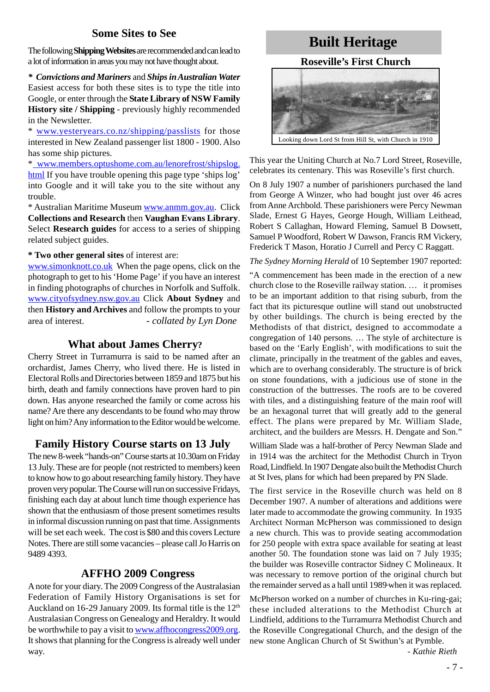## **Some Sites to See**

The following **Shipping Websites** are recommendedand can lead to a lot of information in areas you may not have thought about.

*\* Convictions and Mariners* and *Ships in Australian Water* Easiest access for both these sites is to type the title into Google, or enter through the **State Library of NSW Family History site / Shipping** - previously highly recommended in the Newsletter.

\* www.yesteryears.co.nz/shipping/passlists for those interested in New Zealand passenger list 1800 - 1900. Also has some ship pictures.

\* www.members.optushome.com.au/lenorefrost/shipslog. html If you have trouble opening this page type 'ships log' into Google and it will take you to the site without any trouble.

\* Australian Maritime Museum www.anmm.gov.au. Click **Collections and Research** then **Vaughan Evans Library**. Select **Research guides** for access to a series of shipping related subject guides.

#### **\* Two other general sites** of interest are:

www.simonknott.co.uk When the page opens, click on the photograph to get to his 'Home Page' if you have an interest in finding photographs of churches in Norfolk and Suffolk. www.cityofsydney.nsw.gov.au Click **About Sydney** and then **History and Archives** and follow the prompts to your area of interest. *- collated by Lyn Done*

#### **What about James Cherry?**

Cherry Street in Turramurra is said to be named after an orchardist, James Cherry, who lived there. He is listed in Electoral Rolls and Directories between 1859 and 1875 but his birth, death and family connections have proven hard to pin down. Has anyone researched the family or come across his name? Are there any descendants to be found who may throw light on him? Any information to the Editor would be welcome.

## **Family History Course starts on 13 July**

The new 8-week "hands-on" Course starts at 10.30am on Friday 13 July. These are for people (not restricted to members) keen to know how to go about researching family history. They have proven very popular. The Course will run on successive Fridays, finishing each day at about lunch time though experience has shown that the enthusiasm of those present sometimes results in informal discussion running on past that time. Assignments will be set each week. The cost is \$80 and this covers Lecture Notes. There are still some vacancies – please call Jo Harris on 9489 4393.

## **AFFHO 2009 Congress**

A note for your diary. The 2009 Congress of the Australasian Federation of Family History Organisations is set for Auckland on 16-29 January 2009. Its formal title is the  $12<sup>th</sup>$ Australasian Congress on Genealogy and Heraldry. It would be worthwhile to pay a visit to www.affhocongress2009.org. It shows that planning for the Congress is already well under way.

# **Built Heritage**

#### **Roseville's First Church**



This year the Uniting Church at No.7 Lord Street, Roseville, celebrates its centenary. This was Roseville's first church.

On 8 July 1907 a number of parishioners purchased the land from George A Winzer, who had bought just over 46 acres from Anne Archbold. These parishioners were Percy Newman Slade, Ernest G Hayes, George Hough, William Leithead, Robert S Callaghan, Howard Fleming, Samuel B Dowsett, Samuel P Woodford, Robert W Dawson, Francis RM Vickery, Frederick T Mason, Horatio J Currell and Percy C Raggatt.

*The Sydney Morning Herald* of 10 September 1907 reported:

"A commencement has been made in the erection of a new church close to the Roseville railway station. … it promises to be an important addition to that rising suburb, from the fact that its picturesque outline will stand out unobstructed by other buildings. The church is being erected by the Methodists of that district, designed to accommodate a congregation of 140 persons. … The style of architecture is based on the 'Early English', with modifications to suit the climate, principally in the treatment of the gables and eaves, which are to overhang considerably. The structure is of brick on stone foundations, with a judicious use of stone in the construction of the buttresses. The roofs are to be covered with tiles, and a distinguishing feature of the main roof will be an hexagonal turret that will greatly add to the general effect. The plans were prepared by Mr. William Slade, architect, and the builders are Messrs. H. Dengate and Son."

William Slade was a half-brother of Percy Newman Slade and in 1914 was the architect for the Methodist Church in Tryon Road, Lindfield. In 1907 Dengate also built the Methodist Church at St Ives, plans for which had been prepared by PN Slade.

The first service in the Roseville church was held on 8 December 1907. A number of alterations and additions were later made to accommodate the growing community. In 1935 Architect Norman McPherson was commissioned to design a new church. This was to provide seating accommodation for 250 people with extra space available for seating at least another 50. The foundation stone was laid on 7 July 1935; the builder was Roseville contractor Sidney C Molineaux. It was necessary to remove portion of the original church but the remainder served as a hall until 1989 when it was replaced.

McPherson worked on a number of churches in Ku-ring-gai; these included alterations to the Methodist Church at Lindfield, additions to the Turramurra Methodist Church and the Roseville Congregational Church, and the design of the new stone Anglican Church of St Swithun's at Pymble.

 *- Kathie Rieth*